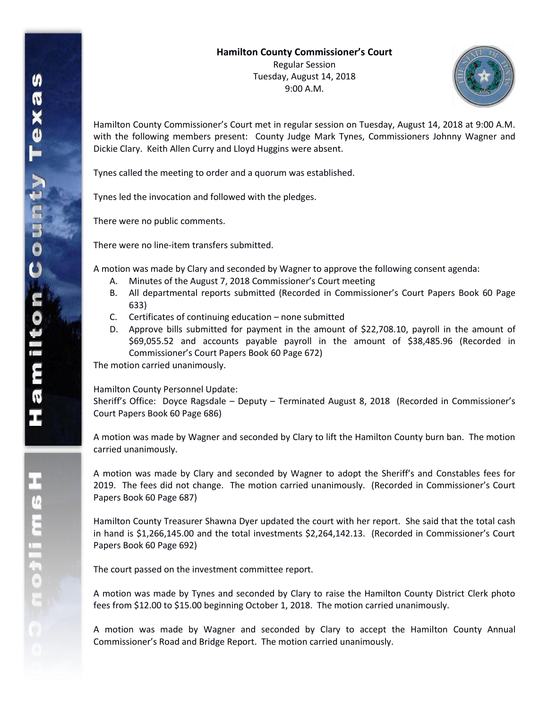

Hamilton County Commissioner's Court met in regular session on Tuesday, August 14, 2018 at 9:00 A.M. with the following members present: County Judge Mark Tynes, Commissioners Johnny Wagner and Dickie Clary. Keith Allen Curry and Lloyd Huggins were absent.

Tynes called the meeting to order and a quorum was established.

Tynes led the invocation and followed with the pledges.

There were no public comments.

There were no line-item transfers submitted.

A motion was made by Clary and seconded by Wagner to approve the following consent agenda:

- A. Minutes of the August 7, 2018 Commissioner's Court meeting
- B. All departmental reports submitted (Recorded in Commissioner's Court Papers Book 60 Page 633)
- C. Certificates of continuing education none submitted
- D. Approve bills submitted for payment in the amount of \$22,708.10, payroll in the amount of \$69,055.52 and accounts payable payroll in the amount of \$38,485.96 (Recorded in Commissioner's Court Papers Book 60 Page 672)

The motion carried unanimously.

Hamilton County Personnel Update:

Sheriff's Office: Doyce Ragsdale – Deputy – Terminated August 8, 2018 (Recorded in Commissioner's Court Papers Book 60 Page 686)

A motion was made by Wagner and seconded by Clary to lift the Hamilton County burn ban. The motion carried unanimously.

A motion was made by Clary and seconded by Wagner to adopt the Sheriff's and Constables fees for 2019. The fees did not change. The motion carried unanimously. (Recorded in Commissioner's Court Papers Book 60 Page 687)

Hamilton County Treasurer Shawna Dyer updated the court with her report. She said that the total cash in hand is \$1,266,145.00 and the total investments \$2,264,142.13. (Recorded in Commissioner's Court Papers Book 60 Page 692)

The court passed on the investment committee report.

A motion was made by Tynes and seconded by Clary to raise the Hamilton County District Clerk photo fees from \$12.00 to \$15.00 beginning October 1, 2018. The motion carried unanimously.

A motion was made by Wagner and seconded by Clary to accept the Hamilton County Annual Commissioner's Road and Bridge Report. The motion carried unanimously.

エムミニャクこ